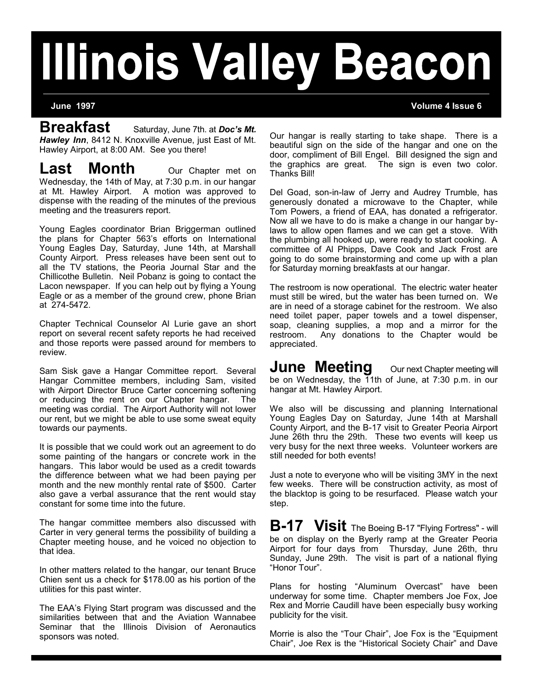# **Illinois Valley Beacon**

**June 1997 Volume 4 Issue 6**

**Breakfast** Saturday, June 7th. at *Doc's Mt. Hawley Inn*, 8412 N. Knoxville Avenue, just East of Mt. Hawley Airport, at 8:00 AM. See you there!

**Last Month** Our Chapter met on Wednesday, the 14th of May, at 7:30 p.m. in our hangar at Mt. Hawley Airport. A motion was approved to dispense with the reading of the minutes of the previous meeting and the treasurers report.

Young Eagles coordinator Brian Briggerman outlined the plans for Chapter 563's efforts on International Young Eagles Day, Saturday, June 14th, at Marshall County Airport. Press releases have been sent out to all the TV stations, the Peoria Journal Star and the Chillicothe Bulletin. Neil Pobanz is going to contact the Lacon newspaper. If you can help out by flying a Young Eagle or as a member of the ground crew, phone Brian at 274-5472.

Chapter Technical Counselor Al Lurie gave an short report on several recent safety reports he had received and those reports were passed around for members to review.

Sam Sisk gave a Hangar Committee report. Several Hangar Committee members, including Sam, visited with Airport Director Bruce Carter concerning softening or reducing the rent on our Chapter hangar. The meeting was cordial. The Airport Authority will not lower our rent, but we might be able to use some sweat equity towards our payments.

It is possible that we could work out an agreement to do some painting of the hangars or concrete work in the hangars. This labor would be used as a credit towards the difference between what we had been paying per month and the new monthly rental rate of \$500. Carter also gave a verbal assurance that the rent would stay constant for some time into the future.

The hangar committee members also discussed with Carter in very general terms the possibility of building a Chapter meeting house, and he voiced no objection to that idea.

In other matters related to the hangar, our tenant Bruce Chien sent us a check for \$178.00 as his portion of the utilities for this past winter.

The EAA's Flying Start program was discussed and the similarities between that and the Aviation Wannabee Seminar that the Illinois Division of Aeronautics sponsors was noted.

Our hangar is really starting to take shape. There is a beautiful sign on the side of the hangar and one on the door, compliment of Bill Engel. Bill designed the sign and the graphics are great. The sign is even two color. Thanks Bill!

Del Goad, son-in-law of Jerry and Audrey Trumble, has generously donated a microwave to the Chapter, while Tom Powers, a friend of EAA, has donated a refrigerator. Now all we have to do is make a change in our hangar bylaws to allow open flames and we can get a stove. With the plumbing all hooked up, were ready to start cooking. A committee of Al Phipps, Dave Cook and Jack Frost are going to do some brainstorming and come up with a plan for Saturday morning breakfasts at our hangar.

The restroom is now operational. The electric water heater must still be wired, but the water has been turned on. We are in need of a storage cabinet for the restroom. We also need toilet paper, paper towels and a towel dispenser, soap, cleaning supplies, a mop and a mirror for the restroom. Any donations to the Chapter would be appreciated.

**June Meeting** Our next Chapter meeting will be on Wednesday, the 11th of June, at 7:30 p.m. in our hangar at Mt. Hawley Airport.

We also will be discussing and planning International Young Eagles Day on Saturday, June 14th at Marshall County Airport, and the B-17 visit to Greater Peoria Airport June 26th thru the 29th. These two events will keep us very busy for the next three weeks. Volunteer workers are still needed for both events!

Just a note to everyone who will be visiting 3MY in the next few weeks. There will be construction activity, as most of the blacktop is going to be resurfaced. Please watch your step.

**B-17 Visit** The Boeing B-17 "Flying Fortress" - will be on display on the Byerly ramp at the Greater Peoria Airport for four days from Thursday, June 26th, thru Sunday, June 29th. The visit is part of a national flying "Honor Tour".

Plans for hosting "Aluminum Overcast" have been underway for some time. Chapter members Joe Fox, Joe Rex and Morrie Caudill have been especially busy working publicity for the visit.

Morrie is also the "Tour Chair", Joe Fox is the "Equipment Chair", Joe Rex is the "Historical Society Chair" and Dave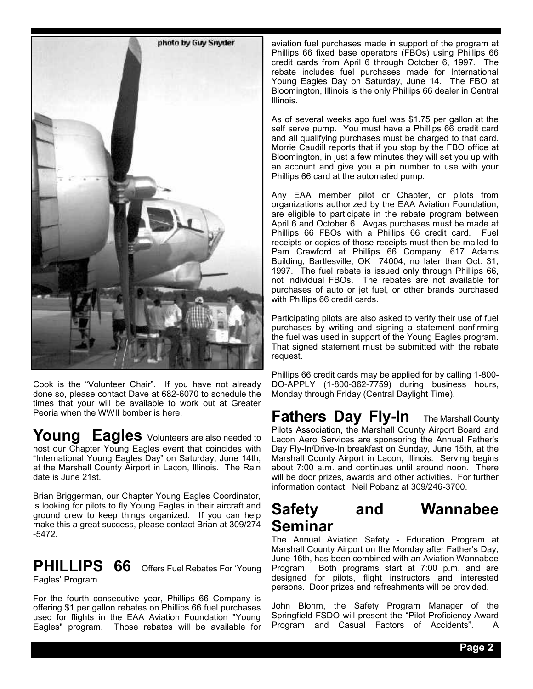

Cook is the "Volunteer Chair". If you have not already done so, please contact Dave at 682-6070 to schedule the times that your will be available to work out at Greater Peoria when the WWII bomber is here.

**Young Eagles** Volunteers are also needed to host our Chapter Young Eagles event that coincides with "International Young Eagles Day" on Saturday, June 14th, at the Marshall County Airport in Lacon, Illinois. The Rain date is June 21st.

Brian Briggerman, our Chapter Young Eagles Coordinator, is looking for pilots to fly Young Eagles in their aircraft and ground crew to keep things organized. If you can help make this a great success, please contact Brian at 309/274 -5472.

**PHILLIPS 66** Offers Fuel Rebates For 'Young

Eagles' Program

For the fourth consecutive year, Phillips 66 Company is offering \$1 per gallon rebates on Phillips 66 fuel purchases used for flights in the EAA Aviation Foundation "Young Eagles" program. Those rebates will be available for

aviation fuel purchases made in support of the program at Phillips 66 fixed base operators (FBOs) using Phillips 66 credit cards from April 6 through October 6, 1997. The rebate includes fuel purchases made for International Young Eagles Day on Saturday, June 14. The FBO at Bloomington, Illinois is the only Phillips 66 dealer in Central Illinois.

As of several weeks ago fuel was \$1.75 per gallon at the self serve pump. You must have a Phillips 66 credit card and all qualifying purchases must be charged to that card. Morrie Caudill reports that if you stop by the FBO office at Bloomington, in just a few minutes they will set you up with an account and give you a pin number to use with your Phillips 66 card at the automated pump.

Any EAA member pilot or Chapter, or pilots from organizations authorized by the EAA Aviation Foundation, are eligible to participate in the rebate program between April 6 and October 6. Avgas purchases must be made at Phillips 66 FBOs with a Phillips 66 credit card. Fuel receipts or copies of those receipts must then be mailed to Pam Crawford at Phillips 66 Company, 617 Adams Building, Bartlesville, OK 74004, no later than Oct. 31, 1997. The fuel rebate is issued only through Phillips 66, not individual FBOs. The rebates are not available for purchases of auto or jet fuel, or other brands purchased with Phillips 66 credit cards.

Participating pilots are also asked to verify their use of fuel purchases by writing and signing a statement confirming the fuel was used in support of the Young Eagles program. That signed statement must be submitted with the rebate request.

Phillips 66 credit cards may be applied for by calling 1-800- DO-APPLY (1-800-362-7759) during business hours, Monday through Friday (Central Daylight Time).

**Fathers Day Fly-In** The Marshall County Pilots Association, the Marshall County Airport Board and Lacon Aero Services are sponsoring the Annual Father's Day Fly-In/Drive-In breakfast on Sunday, June 15th, at the Marshall County Airport in Lacon, Illinois. Serving begins about 7:00 a.m. and continues until around noon. There will be door prizes, awards and other activities. For further information contact: Neil Pobanz at 309/246-3700.

## **Safety and Wannabee Seminar**

The Annual Aviation Safety - Education Program at Marshall County Airport on the Monday after Father's Day, June 16th, has been combined with an Aviation Wannabee Program. Both programs start at 7:00 p.m. and are designed for pilots, flight instructors and interested persons. Door prizes and refreshments will be provided.

John Blohm, the Safety Program Manager of the Springfield FSDO will present the "Pilot Proficiency Award Program and Casual Factors of Accidents". A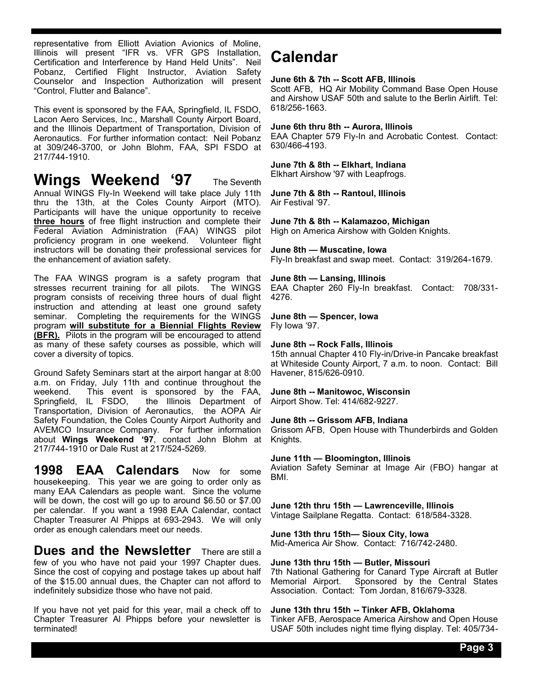representative from Elliott Aviation Avionics of Moline, Illinois will present "IFR vs. VFR GPS Installation, Certification and Interference by Hand Held Units". Neil Pobanz, Certified Flight Instructor, Aviation Safety Counselor and Inspection Authorization will present "Control, Flutter and Balance".

This event is sponsored by the FAA, Springfield, IL FSDO, Lacon Aero Services, Inc., Marshall County Airport Board, and the Illinois Department of Transportation, Division of Aeronautics. For further information contact: Neil Pobanz at 309/246-3700, or John Blohm, FAA, SPI FSDO at 217/744-1910.

## **Wings Weekend '97** The Seventh

Annual WINGS Fly-In Weekend will take place July 11th thru the 13th, at the Coles County Airport (MTO). Participants will have the unique opportunity to receive **three hours** of free flight instruction and complete their Federal Aviation Administration (FAA) WINGS pilot proficiency program in one weekend. Volunteer flight instructors will be donating their professional services for the enhancement of aviation safety.

The FAA WINGS program is a safety program that stresses recurrent training for all pilots. The WINGS program consists of receiving three hours of dual flight instruction and attending at least one ground safety seminar. Completing the requirements for the WINGS program **will substitute for a Biennial Flights Review (BFR).** Pilots in the program will be encouraged to attend as many of these safety courses as possible, which will cover a diversity of topics.

Ground Safety Seminars start at the airport hangar at 8:00 a.m. on Friday, July 11th and continue throughout the This event is sponsored by the FAA, Springfield, IL FSDO, the Illinois Department of Transportation, Division of Aeronautics, the AOPA Air Safety Foundation, the Coles County Airport Authority and AVEMCO Insurance Company. For further information about **Wings Weekend '97**, contact John Blohm at 217/744-1910 or Dale Rust at 217/524-5269.

**1998 EAA Calendars** Now for some housekeeping. This year we are going to order only as many EAA Calendars as people want. Since the volume will be down, the cost will go up to around \$6.50 or \$7.00 per calendar. If you want a 1998 EAA Calendar, contact Chapter Treasurer Al Phipps at 693-2943. We will only order as enough calendars meet our needs.

**Dues and the Newsletter** There are still a few of you who have not paid your 1997 Chapter dues. Since the cost of copying and postage takes up about half of the \$15.00 annual dues, the Chapter can not afford to indefinitely subsidize those who have not paid.

If you have not yet paid for this year, mail a check off to Chapter Treasurer Al Phipps before your newsletter is terminated!

## **Calendar**

#### **June 6th & 7th -- Scott AFB, Illinois**

Scott AFB, HQ Air Mobility Command Base Open House and Airshow USAF 50th and salute to the Berlin Airlift. Tel: 618/256-1663.

#### **June 6th thru 8th -- Aurora, Illinois**

EAA Chapter 579 Fly-In and Acrobatic Contest. Contact: 630/466-4193.

#### **June 7th & 8th -- Elkhart, Indiana**

Elkhart Airshow '97 with Leapfrogs.

#### **June 7th & 8th -- Rantoul, Illinois** Air Festival '97.

**June 7th & 8th -- Kalamazoo, Michigan**

High on America Airshow with Golden Knights.

#### **June 8th — Muscatine, Iowa**

Fly-In breakfast and swap meet. Contact: 319/264-1679.

#### **June 8th — Lansing, Illinois**

EAA Chapter 260 Fly-In breakfast. Contact: 708/331- 4276.

#### **June 8th — Spencer, Iowa**

Fly Iowa '97.

#### **June 8th -- Rock Falls, Illinois**

15th annual Chapter 410 Fly-in/Drive-in Pancake breakfast at Whiteside County Airport, 7 a.m. to noon. Contact: Bill Havener, 815/626-0910.

#### **June 8th -- Manitowoc, Wisconsin**

Airport Show. Tel: 414/682-9227.

#### **June 8th -- Grissom AFB, Indiana**

Grissom AFB, Open House with Thunderbirds and Golden Knights.

#### **June 11th — Bloomington, Illinois**

Aviation Safety Seminar at Image Air (FBO) hangar at BMI.

## **June 12th thru 15th — Lawrenceville, Illinois**

Vintage Sailplane Regatta. Contact: 618/584-3328.

#### **June 13th thru 15th— Sioux City, Iowa**

Mid-America Air Show. Contact: 716/742-2480.

#### **June 13th thru 15th — Butler, Missouri**

7th National Gathering for Canard Type Aircraft at Butler Memorial Airport. Sponsored by the Central States Association. Contact: Tom Jordan, 816/679-3328.

#### **June 13th thru 15th -- Tinker AFB, Oklahoma**

Tinker AFB, Aerospace America Airshow and Open House USAF 50th includes night time flying display. Tel: 405/734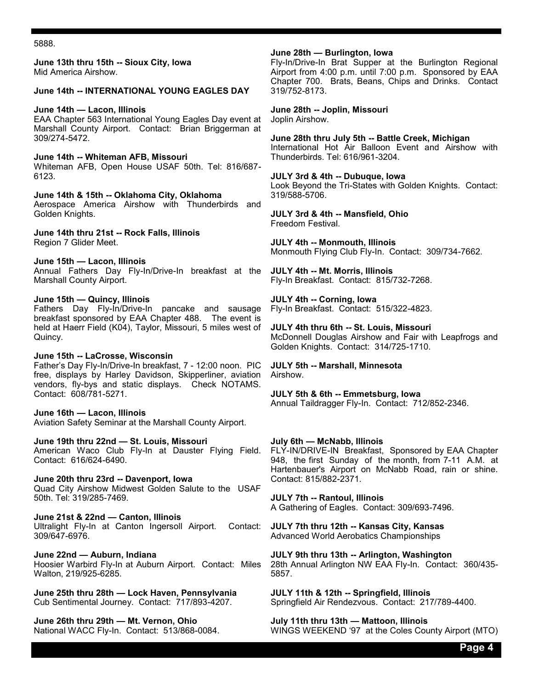5888.

**June 13th thru 15th -- Sioux City, Iowa** Mid America Airshow.

#### **June 14th -- INTERNATIONAL YOUNG EAGLES DAY**

#### **June 14th — Lacon, Illinois**

EAA Chapter 563 International Young Eagles Day event at Marshall County Airport. Contact: Brian Briggerman at 309/274-5472.

**June 14th -- Whiteman AFB, Missouri** Whiteman AFB, Open House USAF 50th. Tel: 816/687- 6123.

**June 14th & 15th -- Oklahoma City, Oklahoma**

Aerospace America Airshow with Thunderbirds and Golden Knights.

**June 14th thru 21st -- Rock Falls, Illinois** Region 7 Glider Meet.

**June 15th — Lacon, Illinois**

Annual Fathers Day Fly-In/Drive-In breakfast at the Marshall County Airport.

#### **June 15th — Quincy, Illinois**

Fathers Day Fly-In/Drive-In pancake and sausage breakfast sponsored by EAA Chapter 488. The event is held at Haerr Field (K04), Taylor, Missouri, 5 miles west of Quincy.

#### **June 15th -- LaCrosse, Wisconsin**

Father's Day Fly-In/Drive-In breakfast, 7 - 12:00 noon. PIC free, displays by Harley Davidson, Skipperliner, aviation vendors, fly-bys and static displays. Check NOTAMS. Contact: 608/781-5271.

#### **June 16th — Lacon, Illinois**

Aviation Safety Seminar at the Marshall County Airport.

**June 19th thru 22nd — St. Louis, Missouri**

American Waco Club Fly-In at Dauster Flying Field. Contact: 616/624-6490.

**June 20th thru 23rd -- Davenport, Iowa**

Quad City Airshow Midwest Golden Salute to the USAF 50th. Tel: 319/285-7469.

**June 21st & 22nd — Canton, Illinois** Ultralight Fly-In at Canton Ingersoll Airport. Contact: 309/647-6976.

**June 22nd — Auburn, Indiana**

Hoosier Warbird Fly-In at Auburn Airport. Contact: Miles Walton, 219/925-6285.

**June 25th thru 28th — Lock Haven, Pennsylvania** Cub Sentimental Journey. Contact: 717/893-4207.

**June 26th thru 29th — Mt. Vernon, Ohio** National WACC Fly-In. Contact: 513/868-0084.

#### **June 28th — Burlington, Iowa**

Fly-In/Drive-In Brat Supper at the Burlington Regional Airport from 4:00 p.m. until 7:00 p.m. Sponsored by EAA Chapter 700. Brats, Beans, Chips and Drinks. Contact 319/752-8173.

**June 28th -- Joplin, Missouri** Joplin Airshow.

**June 28th thru July 5th -- Battle Creek, Michigan** International Hot Air Balloon Event and Airshow with Thunderbirds. Tel: 616/961-3204.

**JULY 3rd & 4th -- Dubuque, Iowa**

Look Beyond the Tri-States with Golden Knights. Contact: 319/588-5706.

**JULY 3rd & 4th -- Mansfield, Ohio** Freedom Festival.

**JULY 4th -- Monmouth, Illinois** Monmouth Flying Club Fly-In. Contact: 309/734-7662.

**JULY 4th -- Mt. Morris, Illinois** Fly-In Breakfast. Contact: 815/732-7268.

**JULY 4th -- Corning, Iowa** Fly-In Breakfast. Contact: 515/322-4823.

**JULY 4th thru 6th -- St. Louis, Missouri** McDonnell Douglas Airshow and Fair with Leapfrogs and Golden Knights. Contact: 314/725-1710.

**JULY 5th -- Marshall, Minnesota** Airshow.

**JULY 5th & 6th -- Emmetsburg, Iowa** Annual Taildragger Fly-In. Contact: 712/852-2346.

#### **July 6th — McNabb, Illinois**

FLY-IN/DRIVE-IN Breakfast, Sponsored by EAA Chapter 948, the first Sunday of the month, from 7-11 A.M. at Hartenbauer's Airport on McNabb Road, rain or shine. Contact: 815/882-2371.

**JULY 7th -- Rantoul, Illinois** A Gathering of Eagles. Contact: 309/693-7496.

**JULY 7th thru 12th -- Kansas City, Kansas** Advanced World Aerobatics Championships

**JULY 9th thru 13th -- Arlington, Washington** 28th Annual Arlington NW EAA Fly-In. Contact: 360/435- 5857.

**JULY 11th & 12th -- Springfield, Illinois** Springfield Air Rendezvous. Contact: 217/789-4400.

**July 11th thru 13th — Mattoon, Illinois** WINGS WEEKEND '97 at the Coles County Airport (MTO)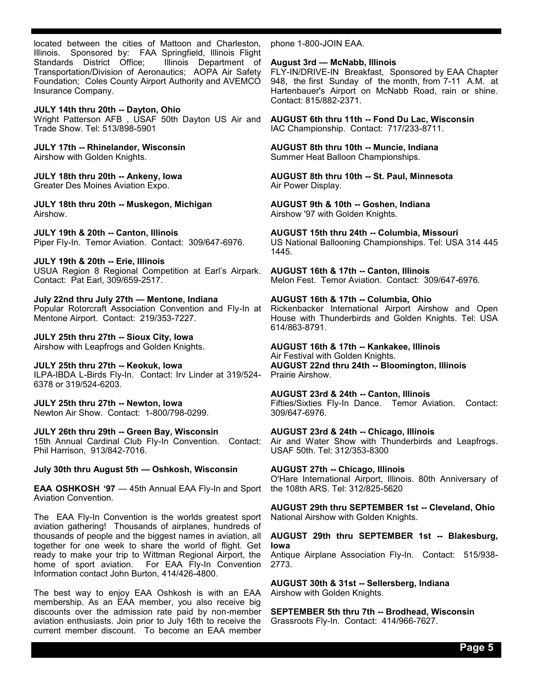located between the cities of Mattoon and Charleston, Illinois. Sponsored by: FAA Springfield, Illinois Flight<br>Standards District Office; Illinois Department of Standards District Office; Transportation/Division of Aeronautics; AOPA Air Safety Foundation; Coles County Airport Authority and AVEMCO Insurance Company.

**JULY 14th thru 20th -- Dayton, Ohio** Wright Patterson AFB , USAF 50th Dayton US Air and Trade Show. Tel: 513/898-5901

**JULY 17th -- Rhinelander, Wisconsin** Airshow with Golden Knights.

**JULY 18th thru 20th -- Ankeny, Iowa** Greater Des Moines Aviation Expo.

**JULY 18th thru 20th -- Muskegon, Michigan** Airshow.

**JULY 19th & 20th -- Canton, Illinois** Piper Fly-In. Temor Aviation. Contact: 309/647-6976.

**JULY 19th & 20th -- Erie, Illinois** USUA Region 8 Regional Competition at Earl's Airpark. Contact: Pat Earl, 309/659-2517.

**July 22nd thru July 27th — Mentone, Indiana** Popular Rotorcraft Association Convention and Fly-In at Mentone Airport. Contact: 219/353-7227.

**JULY 25th thru 27th -- Sioux City, Iowa** Airshow with Leapfrogs and Golden Knights.

**JULY 25th thru 27th -- Keokuk, Iowa** ILPA-IBDA L-Birds Fly-In. Contact: Irv Linder at 319/524- 6378 or 319/524-6203.

**JULY 25th thru 27th -- Newton, Iowa** Newton Air Show. Contact: 1-800/798-0299.

**JULY 26th thru 29th -- Green Bay, Wisconsin** 15th Annual Cardinal Club Fly-In Convention. Contact: Phil Harrison, 913/842-7016.

**July 30th thru August 5th — Oshkosh, Wisconsin**

**EAA OSHKOSH '97** — 45th Annual EAA Fly-In and Sport Aviation Convention.

The EAA Fly-In Convention is the worlds greatest sport aviation gathering! Thousands of airplanes, hundreds of thousands of people and the biggest names in aviation, all together for one week to share the world of flight. Get ready to make your trip to Wittman Regional Airport, the home of sport aviation. For EAA Fly-In Convention Information contact John Burton, 414/426-4800.

The best way to enjoy EAA Oshkosh is with an EAA membership. As an EAA member, you also receive big discounts over the admission rate paid by non-member aviation enthusiasts. Join prior to July 16th to receive the current member discount. To become an EAA member

phone 1-800-JOIN EAA.

#### **August 3rd — McNabb, Illinois**

FLY-IN/DRIVE-IN Breakfast, Sponsored by EAA Chapter 948, the first Sunday of the month, from 7-11 A.M. at Hartenbauer's Airport on McNabb Road, rain or shine. Contact: 815/882-2371.

**AUGUST 6th thru 11th -- Fond Du Lac, Wisconsin** IAC Championship. Contact: 717/233-8711.

**AUGUST 8th thru 10th -- Muncie, Indiana**  Summer Heat Balloon Championships.

**AUGUST 8th thru 10th -- St. Paul, Minnesota** Air Power Display.

**AUGUST 9th & 10th -- Goshen, Indiana** Airshow '97 with Golden Knights.

**AUGUST 15th thru 24th -- Columbia, Missouri** US National Ballooning Championships. Tel: USA 314 445 1445.

**AUGUST 16th & 17th -- Canton, Illinois** Melon Fest. Temor Aviation. Contact: 309/647-6976.

**AUGUST 16th & 17th -- Columbia, Ohio** Rickenbacker International Airport Airshow and Open House with Thunderbirds and Golden Knights. Tel: USA 614/863-8791.

**AUGUST 16th & 17th -- Kankakee, Illinois** Air Festival with Golden Knights. **AUGUST 22nd thru 24th -- Bloomington, Illinois** Prairie Airshow.

**AUGUST 23rd & 24th -- Canton, Illinois** Fifties/Sixties Fly-In Dance. Temor Aviation. Contact: 309/647-6976.

**AUGUST 23rd & 24th -- Chicago, Illinois** Air and Water Show with Thunderbirds and Leapfrogs. USAF 50th. Tel: 312/353-8300

**AUGUST 27th -- Chicago, Illinois** O'Hare International Airport, Illinois. 80th Anniversary of the 108th ARS. Tel: 312/825-5620

**AUGUST 29th thru SEPTEMBER 1st -- Cleveland, Ohio** National Airshow with Golden Knights.

**AUGUST 29th thru SEPTEMBER 1st -- Blakesburg, Iowa**

Antique Airplane Association Fly-In. Contact: 515/938- 2773.

**AUGUST 30th & 31st -- Sellersberg, Indiana**  Airshow with Golden Knights.

**SEPTEMBER 5th thru 7th -- Brodhead, Wisconsin** Grassroots Fly-In. Contact: 414/966-7627.